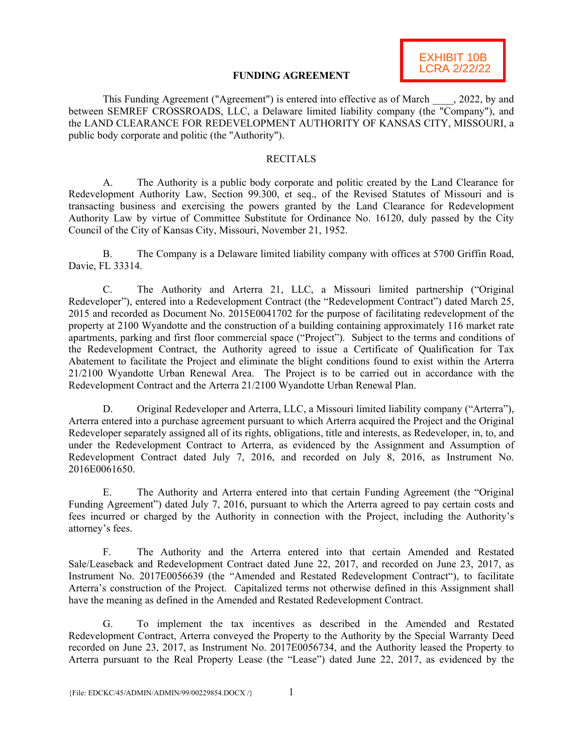

### **FUNDING AGREEMENT**

This Funding Agreement ("Agreement") is entered into effective as of March , 2022, by and between SEMREF CROSSROADS, LLC, a Delaware limited liability company (the "Company"), and the LAND CLEARANCE FOR REDEVELOPMENT AUTHORITY OF KANSAS CITY, MISSOURI, a public body corporate and politic (the "Authority").

## **RECITALS**

A. The Authority is a public body corporate and politic created by the Land Clearance for Redevelopment Authority Law, Section 99.300, et seq., of the Revised Statutes of Missouri and is transacting business and exercising the powers granted by the Land Clearance for Redevelopment Authority Law by virtue of Committee Substitute for Ordinance No. 16120, duly passed by the City Council of the City of Kansas City, Missouri, November 21, 1952.

B. The Company is a Delaware limited liability company with offices at 5700 Griffin Road, Davie, FL 33314.

C. The Authority and Arterra 21, LLC, a Missouri limited partnership ("Original Redeveloper"), entered into a Redevelopment Contract (the "Redevelopment Contract") dated March 25, 2015 and recorded as Document No. 2015E0041702 for the purpose of facilitating redevelopment of the property at 2100 Wyandotte and the construction of a building containing approximately 116 market rate apartments, parking and first floor commercial space ("Project"). Subject to the terms and conditions of the Redevelopment Contract, the Authority agreed to issue a Certificate of Qualification for Tax Abatement to facilitate the Project and eliminate the blight conditions found to exist within the Arterra 21/2100 Wyandotte Urban Renewal Area. The Project is to be carried out in accordance with the Redevelopment Contract and the Arterra 21/2100 Wyandotte Urban Renewal Plan.

D. Original Redeveloper and Arterra, LLC, a Missouri limited liability company ("Arterra"), Arterra entered into a purchase agreement pursuant to which Arterra acquired the Project and the Original Redeveloper separately assigned all of its rights, obligations, title and interests, as Redeveloper, in, to, and under the Redevelopment Contract to Arterra, as evidenced by the Assignment and Assumption of Redevelopment Contract dated July 7, 2016, and recorded on July 8, 2016, as Instrument No. 2016E0061650.

E. The Authority and Arterra entered into that certain Funding Agreement (the "Original Funding Agreement") dated July 7, 2016, pursuant to which the Arterra agreed to pay certain costs and fees incurred or charged by the Authority in connection with the Project, including the Authority's attorney's fees.

F. The Authority and the Arterra entered into that certain Amended and Restated Sale/Leaseback and Redevelopment Contract dated June 22, 2017, and recorded on June 23, 2017, as Instrument No. 2017E0056639 (the "Amended and Restated Redevelopment Contract"), to facilitate Arterra's construction of the Project. Capitalized terms not otherwise defined in this Assignment shall have the meaning as defined in the Amended and Restated Redevelopment Contract.

G. To implement the tax incentives as described in the Amended and Restated Redevelopment Contract, Arterra conveyed the Property to the Authority by the Special Warranty Deed recorded on June 23, 2017, as Instrument No. 2017E0056734, and the Authority leased the Property to Arterra pursuant to the Real Property Lease (the "Lease") dated June 22, 2017, as evidenced by the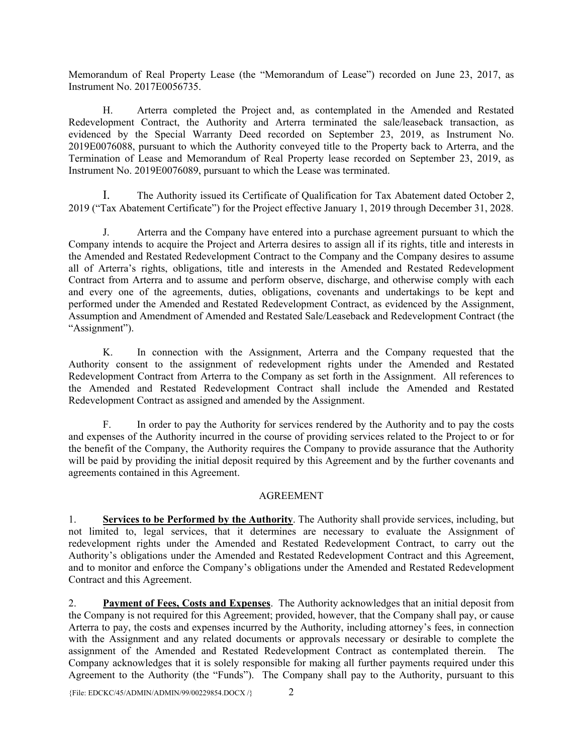Memorandum of Real Property Lease (the "Memorandum of Lease") recorded on June 23, 2017, as Instrument No. 2017E0056735.

H. Arterra completed the Project and, as contemplated in the Amended and Restated Redevelopment Contract, the Authority and Arterra terminated the sale/leaseback transaction, as evidenced by the Special Warranty Deed recorded on September 23, 2019, as Instrument No. 2019E0076088, pursuant to which the Authority conveyed title to the Property back to Arterra, and the Termination of Lease and Memorandum of Real Property lease recorded on September 23, 2019, as Instrument No. 2019E0076089, pursuant to which the Lease was terminated.

I. The Authority issued its Certificate of Qualification for Tax Abatement dated October 2, 2019 ("Tax Abatement Certificate") for the Project effective January 1, 2019 through December 31, 2028.

J. Arterra and the Company have entered into a purchase agreement pursuant to which the Company intends to acquire the Project and Arterra desires to assign all if its rights, title and interests in the Amended and Restated Redevelopment Contract to the Company and the Company desires to assume all of Arterra's rights, obligations, title and interests in the Amended and Restated Redevelopment Contract from Arterra and to assume and perform observe, discharge, and otherwise comply with each and every one of the agreements, duties, obligations, covenants and undertakings to be kept and performed under the Amended and Restated Redevelopment Contract, as evidenced by the Assignment, Assumption and Amendment of Amended and Restated Sale/Leaseback and Redevelopment Contract (the "Assignment").

K. In connection with the Assignment, Arterra and the Company requested that the Authority consent to the assignment of redevelopment rights under the Amended and Restated Redevelopment Contract from Arterra to the Company as set forth in the Assignment. All references to the Amended and Restated Redevelopment Contract shall include the Amended and Restated Redevelopment Contract as assigned and amended by the Assignment.

F. In order to pay the Authority for services rendered by the Authority and to pay the costs and expenses of the Authority incurred in the course of providing services related to the Project to or for the benefit of the Company, the Authority requires the Company to provide assurance that the Authority will be paid by providing the initial deposit required by this Agreement and by the further covenants and agreements contained in this Agreement.

#### AGREEMENT

1. **Services to be Performed by the Authority**. The Authority shall provide services, including, but not limited to, legal services, that it determines are necessary to evaluate the Assignment of redevelopment rights under the Amended and Restated Redevelopment Contract, to carry out the Authority's obligations under the Amended and Restated Redevelopment Contract and this Agreement, and to monitor and enforce the Company's obligations under the Amended and Restated Redevelopment Contract and this Agreement.

2. **Payment of Fees, Costs and Expenses**. The Authority acknowledges that an initial deposit from the Company is not required for this Agreement; provided, however, that the Company shall pay, or cause Arterra to pay, the costs and expenses incurred by the Authority, including attorney's fees, in connection with the Assignment and any related documents or approvals necessary or desirable to complete the assignment of the Amended and Restated Redevelopment Contract as contemplated therein. The Company acknowledges that it is solely responsible for making all further payments required under this Agreement to the Authority (the "Funds"). The Company shall pay to the Authority, pursuant to this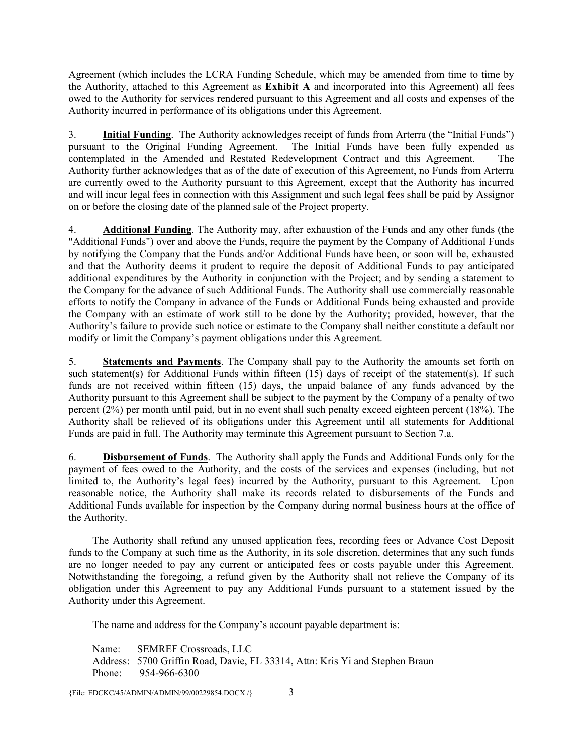Agreement (which includes the LCRA Funding Schedule, which may be amended from time to time by the Authority, attached to this Agreement as **Exhibit A** and incorporated into this Agreement) all fees owed to the Authority for services rendered pursuant to this Agreement and all costs and expenses of the Authority incurred in performance of its obligations under this Agreement.

3. **Initial Funding**. The Authority acknowledges receipt of funds from Arterra (the "Initial Funds") pursuant to the Original Funding Agreement. The Initial Funds have been fully expended as contemplated in the Amended and Restated Redevelopment Contract and this Agreement. Authority further acknowledges that as of the date of execution of this Agreement, no Funds from Arterra are currently owed to the Authority pursuant to this Agreement, except that the Authority has incurred and will incur legal fees in connection with this Assignment and such legal fees shall be paid by Assignor on or before the closing date of the planned sale of the Project property.

4. **Additional Funding**. The Authority may, after exhaustion of the Funds and any other funds (the "Additional Funds") over and above the Funds, require the payment by the Company of Additional Funds by notifying the Company that the Funds and/or Additional Funds have been, or soon will be, exhausted and that the Authority deems it prudent to require the deposit of Additional Funds to pay anticipated additional expenditures by the Authority in conjunction with the Project; and by sending a statement to the Company for the advance of such Additional Funds. The Authority shall use commercially reasonable efforts to notify the Company in advance of the Funds or Additional Funds being exhausted and provide the Company with an estimate of work still to be done by the Authority; provided, however, that the Authority's failure to provide such notice or estimate to the Company shall neither constitute a default nor modify or limit the Company's payment obligations under this Agreement.

5. **Statements and Payments**. The Company shall pay to the Authority the amounts set forth on such statement(s) for Additional Funds within fifteen (15) days of receipt of the statement(s). If such funds are not received within fifteen (15) days, the unpaid balance of any funds advanced by the Authority pursuant to this Agreement shall be subject to the payment by the Company of a penalty of two percent (2%) per month until paid, but in no event shall such penalty exceed eighteen percent (18%). The Authority shall be relieved of its obligations under this Agreement until all statements for Additional Funds are paid in full. The Authority may terminate this Agreement pursuant to Section 7.a.

6. **Disbursement of Funds**. The Authority shall apply the Funds and Additional Funds only for the payment of fees owed to the Authority, and the costs of the services and expenses (including, but not limited to, the Authority's legal fees) incurred by the Authority, pursuant to this Agreement. Upon reasonable notice, the Authority shall make its records related to disbursements of the Funds and Additional Funds available for inspection by the Company during normal business hours at the office of the Authority.

The Authority shall refund any unused application fees, recording fees or Advance Cost Deposit funds to the Company at such time as the Authority, in its sole discretion, determines that any such funds are no longer needed to pay any current or anticipated fees or costs payable under this Agreement. Notwithstanding the foregoing, a refund given by the Authority shall not relieve the Company of its obligation under this Agreement to pay any Additional Funds pursuant to a statement issued by the Authority under this Agreement.

The name and address for the Company's account payable department is:

Name: SEMREF Crossroads, LLC Address: 5700 Griffin Road, Davie, FL 33314, Attn: Kris Yi and Stephen Braun Phone: 954-966-6300

{File: EDCKC/45/ADMIN/ADMIN/99/00229854.DOCX /}  $3$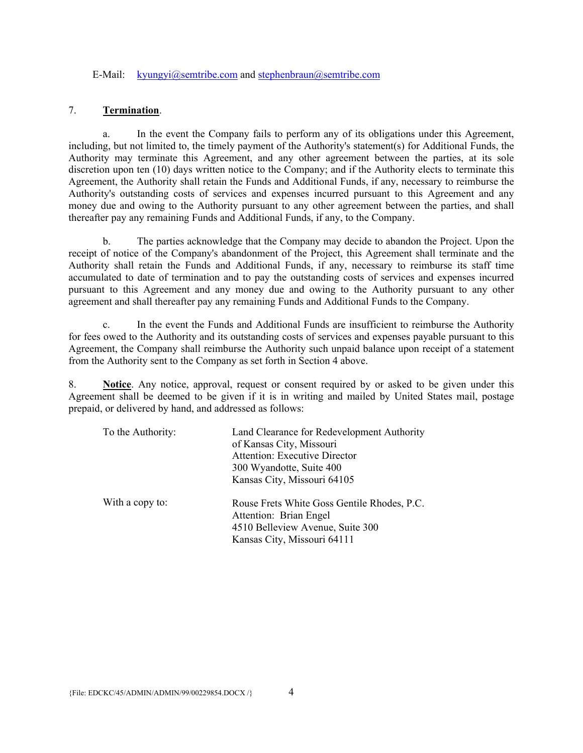#### E-Mail: kyungyi@semtribe.com and stephenbraun@semtribe.com

# 7. **Termination**.

a. In the event the Company fails to perform any of its obligations under this Agreement, including, but not limited to, the timely payment of the Authority's statement(s) for Additional Funds, the Authority may terminate this Agreement, and any other agreement between the parties, at its sole discretion upon ten (10) days written notice to the Company; and if the Authority elects to terminate this Agreement, the Authority shall retain the Funds and Additional Funds, if any, necessary to reimburse the Authority's outstanding costs of services and expenses incurred pursuant to this Agreement and any money due and owing to the Authority pursuant to any other agreement between the parties, and shall thereafter pay any remaining Funds and Additional Funds, if any, to the Company.

b. The parties acknowledge that the Company may decide to abandon the Project. Upon the receipt of notice of the Company's abandonment of the Project, this Agreement shall terminate and the Authority shall retain the Funds and Additional Funds, if any, necessary to reimburse its staff time accumulated to date of termination and to pay the outstanding costs of services and expenses incurred pursuant to this Agreement and any money due and owing to the Authority pursuant to any other agreement and shall thereafter pay any remaining Funds and Additional Funds to the Company.

c. In the event the Funds and Additional Funds are insufficient to reimburse the Authority for fees owed to the Authority and its outstanding costs of services and expenses payable pursuant to this Agreement, the Company shall reimburse the Authority such unpaid balance upon receipt of a statement from the Authority sent to the Company as set forth in Section 4 above.

8. **Notice**. Any notice, approval, request or consent required by or asked to be given under this Agreement shall be deemed to be given if it is in writing and mailed by United States mail, postage prepaid, or delivered by hand, and addressed as follows:

| To the Authority: | Land Clearance for Redevelopment Authority<br>of Kansas City, Missouri<br><b>Attention: Executive Director</b><br>300 Wyandotte, Suite 400<br>Kansas City, Missouri 64105 |
|-------------------|---------------------------------------------------------------------------------------------------------------------------------------------------------------------------|
| With a copy to:   | Rouse Frets White Goss Gentile Rhodes, P.C.<br>Attention: Brian Engel<br>4510 Belleview Avenue, Suite 300<br>Kansas City, Missouri 64111                                  |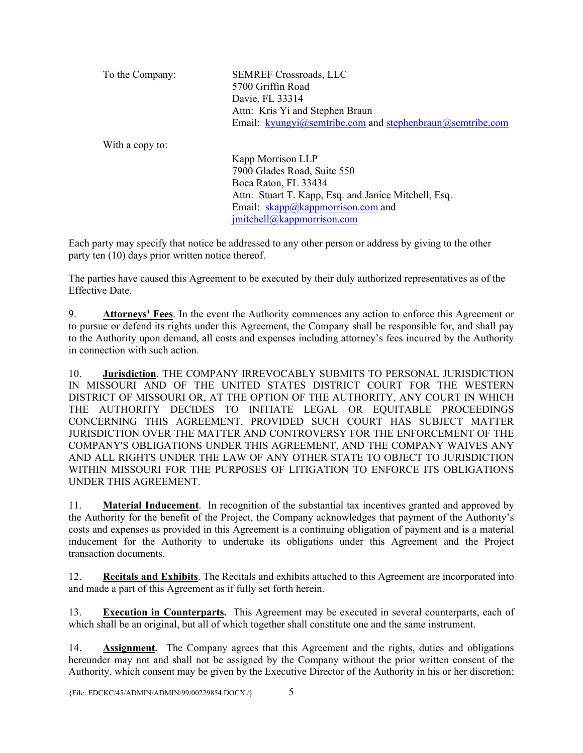| To the Company: | <b>SEMREF Crossroads, LLC</b>                             |
|-----------------|-----------------------------------------------------------|
|                 | 5700 Griffin Road                                         |
|                 | Davie, FL 33314                                           |
|                 | Attn: Kris Yi and Stephen Braun                           |
|                 | Email: kyungyi@semtribe.com and stephenbraun@semtribe.com |
| With a copy to: |                                                           |
|                 | Kapp Morrison LLP                                         |

7900 Glades Road, Suite 550 Boca Raton, FL 33434 Attn: Stuart T. Kapp, Esq. and Janice Mitchell, Esq. Email: skapp@kappmorrison.com and jmitchell@kappmorrison.com

Each party may specify that notice be addressed to any other person or address by giving to the other party ten (10) days prior written notice thereof.

The parties have caused this Agreement to be executed by their duly authorized representatives as of the Effective Date.

9. **Attorneys' Fees**. In the event the Authority commences any action to enforce this Agreement or to pursue or defend its rights under this Agreement, the Company shall be responsible for, and shall pay to the Authority upon demand, all costs and expenses including attorney's fees incurred by the Authority in connection with such action.

10. **Jurisdiction**. THE COMPANY IRREVOCABLY SUBMITS TO PERSONAL JURISDICTION IN MISSOURI AND OF THE UNITED STATES DISTRICT COURT FOR THE WESTERN DISTRICT OF MISSOURI OR, AT THE OPTION OF THE AUTHORITY, ANY COURT IN WHICH THE AUTHORITY DECIDES TO INITIATE LEGAL OR EQUITABLE PROCEEDINGS CONCERNING THIS AGREEMENT, PROVIDED SUCH COURT HAS SUBJECT MATTER JURISDICTION OVER THE MATTER AND CONTROVERSY FOR THE ENFORCEMENT OF THE COMPANY'S OBLIGATIONS UNDER THIS AGREEMENT, AND THE COMPANY WAIVES ANY AND ALL RIGHTS UNDER THE LAW OF ANY OTHER STATE TO OBJECT TO JURISDICTION WITHIN MISSOURI FOR THE PURPOSES OF LITIGATION TO ENFORCE ITS OBLIGATIONS UNDER THIS AGREEMENT.

11. **Material Inducement**. In recognition of the substantial tax incentives granted and approved by the Authority for the benefit of the Project, the Company acknowledges that payment of the Authority's costs and expenses as provided in this Agreement is a continuing obligation of payment and is a material inducement for the Authority to undertake its obligations under this Agreement and the Project transaction documents.

12. **Recitals and Exhibits**. The Recitals and exhibits attached to this Agreement are incorporated into and made a part of this Agreement as if fully set forth herein.

13. **Execution in Counterparts.** This Agreement may be executed in several counterparts, each of which shall be an original, but all of which together shall constitute one and the same instrument.

14. **Assignment.** The Company agrees that this Agreement and the rights, duties and obligations hereunder may not and shall not be assigned by the Company without the prior written consent of the Authority, which consent may be given by the Executive Director of the Authority in his or her discretion;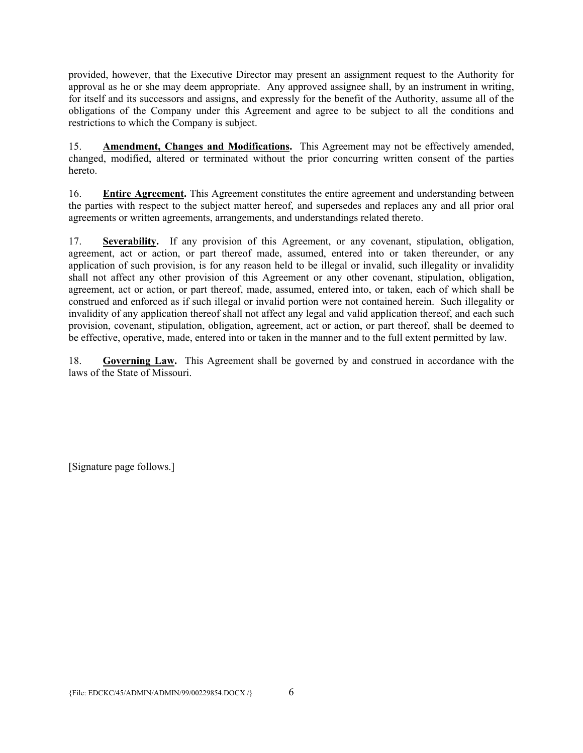provided, however, that the Executive Director may present an assignment request to the Authority for approval as he or she may deem appropriate. Any approved assignee shall, by an instrument in writing, for itself and its successors and assigns, and expressly for the benefit of the Authority, assume all of the obligations of the Company under this Agreement and agree to be subject to all the conditions and restrictions to which the Company is subject.

15. **Amendment, Changes and Modifications.** This Agreement may not be effectively amended, changed, modified, altered or terminated without the prior concurring written consent of the parties hereto.

16. **Entire Agreement.** This Agreement constitutes the entire agreement and understanding between the parties with respect to the subject matter hereof, and supersedes and replaces any and all prior oral agreements or written agreements, arrangements, and understandings related thereto.

17. **Severability.** If any provision of this Agreement, or any covenant, stipulation, obligation, agreement, act or action, or part thereof made, assumed, entered into or taken thereunder, or any application of such provision, is for any reason held to be illegal or invalid, such illegality or invalidity shall not affect any other provision of this Agreement or any other covenant, stipulation, obligation, agreement, act or action, or part thereof, made, assumed, entered into, or taken, each of which shall be construed and enforced as if such illegal or invalid portion were not contained herein. Such illegality or invalidity of any application thereof shall not affect any legal and valid application thereof, and each such provision, covenant, stipulation, obligation, agreement, act or action, or part thereof, shall be deemed to be effective, operative, made, entered into or taken in the manner and to the full extent permitted by law.

18. **Governing Law.** This Agreement shall be governed by and construed in accordance with the laws of the State of Missouri.

[Signature page follows.]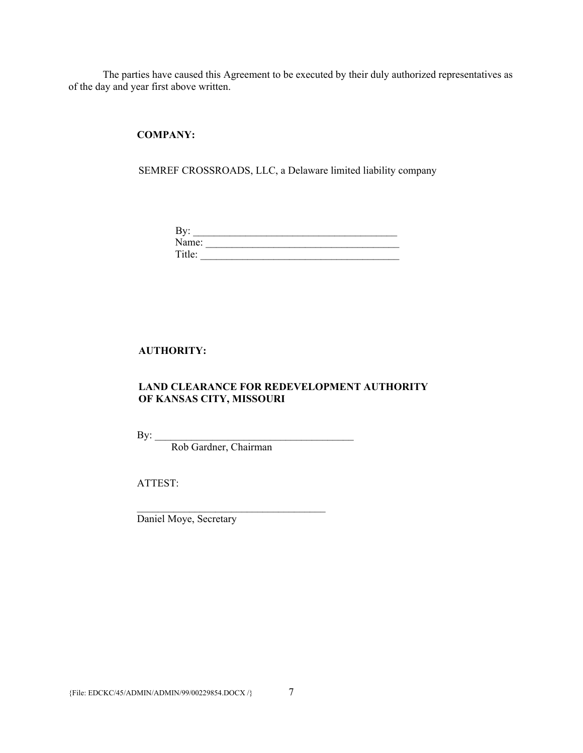The parties have caused this Agreement to be executed by their duly authorized representatives as of the day and year first above written.

**COMPANY:** 

SEMREF CROSSROADS, LLC, a Delaware limited liability company

| י     |  |
|-------|--|
| Name: |  |
|       |  |

# **AUTHORITY:**

## **LAND CLEARANCE FOR REDEVELOPMENT AUTHORITY OF KANSAS CITY, MISSOURI**

 $By:$ 

Rob Gardner, Chairman

ATTEST:

Daniel Moye, Secretary

 $\mathcal{L}_\text{max}$  and  $\mathcal{L}_\text{max}$  and  $\mathcal{L}_\text{max}$  and  $\mathcal{L}_\text{max}$